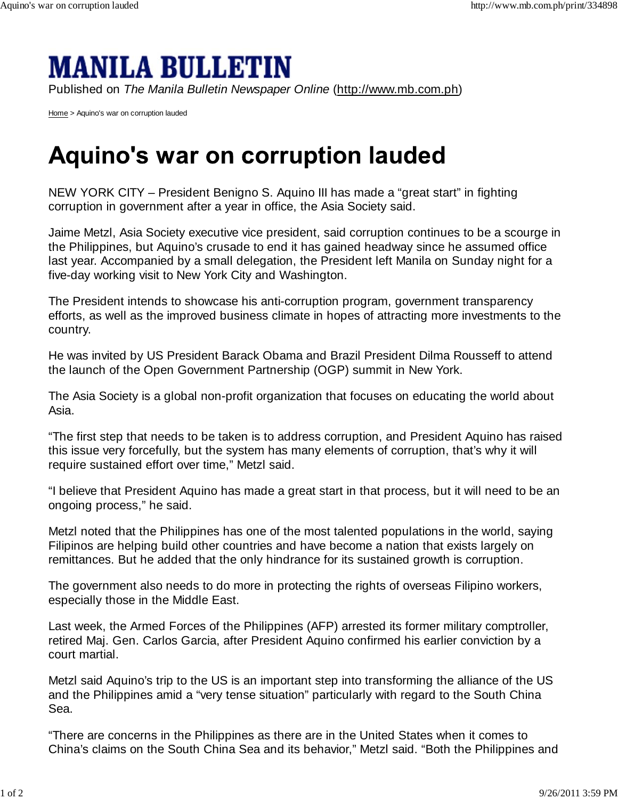## **MANILA BULLETIN**

Published on *The Manila Bulletin Newspaper Online* (http://www.mb.com.ph)

Home > Aquino's war on corruption lauded

## **Aquino's war on corruption lauded**

NEW YORK CITY – President Benigno S. Aquino III has made a "great start" in fighting corruption in government after a year in office, the Asia Society said.

Jaime Metzl, Asia Society executive vice president, said corruption continues to be a scourge in the Philippines, but Aquino's crusade to end it has gained headway since he assumed office last year. Accompanied by a small delegation, the President left Manila on Sunday night for a five-day working visit to New York City and Washington.

The President intends to showcase his anti-corruption program, government transparency efforts, as well as the improved business climate in hopes of attracting more investments to the country.

He was invited by US President Barack Obama and Brazil President Dilma Rousseff to attend the launch of the Open Government Partnership (OGP) summit in New York.

The Asia Society is a global non-profit organization that focuses on educating the world about Asia.

"The first step that needs to be taken is to address corruption, and President Aquino has raised this issue very forcefully, but the system has many elements of corruption, that's why it will require sustained effort over time," Metzl said.

"I believe that President Aquino has made a great start in that process, but it will need to be an ongoing process," he said.

Metzl noted that the Philippines has one of the most talented populations in the world, saying Filipinos are helping build other countries and have become a nation that exists largely on remittances. But he added that the only hindrance for its sustained growth is corruption.

The government also needs to do more in protecting the rights of overseas Filipino workers, especially those in the Middle East.

Last week, the Armed Forces of the Philippines (AFP) arrested its former military comptroller, retired Maj. Gen. Carlos Garcia, after President Aquino confirmed his earlier conviction by a court martial.

Metzl said Aquino's trip to the US is an important step into transforming the alliance of the US and the Philippines amid a "very tense situation" particularly with regard to the South China Sea.

"There are concerns in the Philippines as there are in the United States when it comes to China's claims on the South China Sea and its behavior," Metzl said. "Both the Philippines and